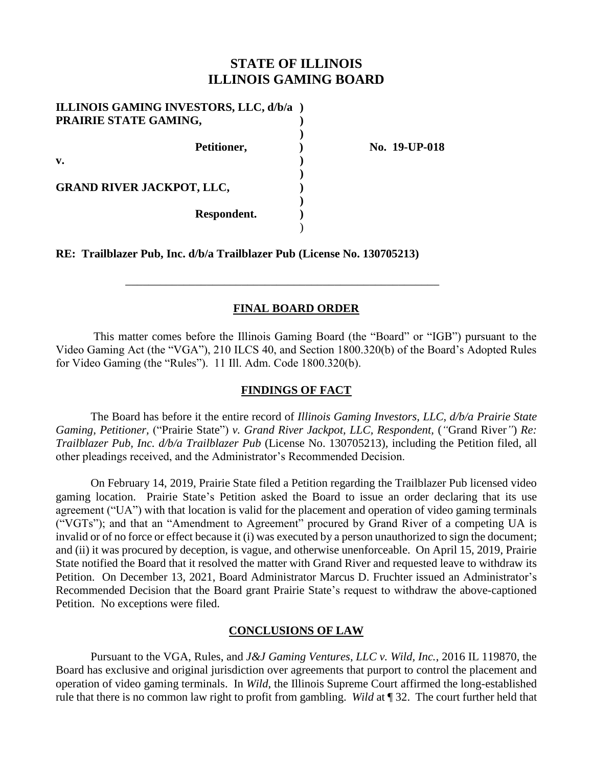# **STATE OF ILLINOIS ILLINOIS GAMING BOARD**

| PRAIRIE STATE GAMING, | ILLINOIS GAMING INVESTORS, LLC, d/b/a ) |               |
|-----------------------|-----------------------------------------|---------------|
|                       | Petitioner,                             | No. 19-UP-018 |
| v.                    |                                         |               |
|                       | <b>GRAND RIVER JACKPOT, LLC,</b>        |               |
|                       | Respondent.                             |               |
|                       |                                         |               |

**RE: Trailblazer Pub, Inc. d/b/a Trailblazer Pub (License No. 130705213)**

## **FINAL BOARD ORDER**

\_\_\_\_\_\_\_\_\_\_\_\_\_\_\_\_\_\_\_\_\_\_\_\_\_\_\_\_\_\_\_\_\_\_\_\_\_\_\_\_\_\_\_\_\_\_\_\_\_\_\_\_\_\_

This matter comes before the Illinois Gaming Board (the "Board" or "IGB") pursuant to the Video Gaming Act (the "VGA"), 210 ILCS 40, and Section 1800.320(b) of the Board's Adopted Rules for Video Gaming (the "Rules"). 11 Ill. Adm. Code 1800.320(b).

## **FINDINGS OF FACT**

The Board has before it the entire record of *Illinois Gaming Investors, LLC, d/b/a Prairie State Gaming, Petitioner,* ("Prairie State") *v. Grand River Jackpot, LLC, Respondent,* (*"*Grand River*"*) *Re: Trailblazer Pub, Inc. d/b/a Trailblazer Pub* (License No. 130705213)*,* including the Petition filed, all other pleadings received, and the Administrator's Recommended Decision.

On February 14, 2019, Prairie State filed a Petition regarding the Trailblazer Pub licensed video gaming location. Prairie State's Petition asked the Board to issue an order declaring that its use agreement ("UA") with that location is valid for the placement and operation of video gaming terminals ("VGTs"); and that an "Amendment to Agreement" procured by Grand River of a competing UA is invalid or of no force or effect because it (i) was executed by a person unauthorized to sign the document; and (ii) it was procured by deception, is vague, and otherwise unenforceable. On April 15, 2019, Prairie State notified the Board that it resolved the matter with Grand River and requested leave to withdraw its Petition. On December 13, 2021, Board Administrator Marcus D. Fruchter issued an Administrator's Recommended Decision that the Board grant Prairie State's request to withdraw the above-captioned Petition. No exceptions were filed.

### **CONCLUSIONS OF LAW**

Pursuant to the VGA, Rules, and *J&J Gaming Ventures, LLC v. Wild, Inc.*, 2016 IL 119870, the Board has exclusive and original jurisdiction over agreements that purport to control the placement and operation of video gaming terminals. In *Wild*, the Illinois Supreme Court affirmed the long-established rule that there is no common law right to profit from gambling. *Wild* at ¶ 32. The court further held that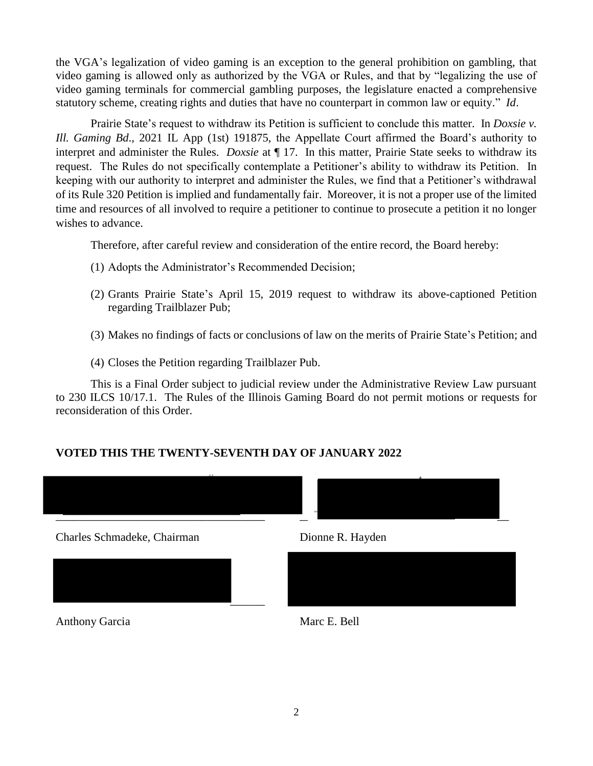the VGA's legalization of video gaming is an exception to the general prohibition on gambling, that video gaming is allowed only as authorized by the VGA or Rules, and that by "legalizing the use of video gaming terminals for commercial gambling purposes, the legislature enacted a comprehensive statutory scheme, creating rights and duties that have no counterpart in common law or equity." *Id*.

Prairie State's request to withdraw its Petition is sufficient to conclude this matter. In *Doxsie v. Ill. Gaming Bd*., 2021 IL App (1st) 191875, the Appellate Court affirmed the Board's authority to interpret and administer the Rules. *Doxsie* at ¶ 17. In this matter, Prairie State seeks to withdraw its request. The Rules do not specifically contemplate a Petitioner's ability to withdraw its Petition. In keeping with our authority to interpret and administer the Rules, we find that a Petitioner's withdrawal of its Rule 320 Petition is implied and fundamentally fair. Moreover, it is not a proper use of the limited time and resources of all involved to require a petitioner to continue to prosecute a petition it no longer wishes to advance.

Therefore, after careful review and consideration of the entire record, the Board hereby:

- (1) Adopts the Administrator's Recommended Decision;
- (2) Grants Prairie State's April 15, 2019 request to withdraw its above-captioned Petition regarding Trailblazer Pub;
- (3) Makes no findings of facts or conclusions of law on the merits of Prairie State's Petition; and
- (4) Closes the Petition regarding Trailblazer Pub.

This is a Final Order subject to judicial review under the Administrative Review Law pursuant to 230 ILCS 10/17.1. The Rules of the Illinois Gaming Board do not permit motions or requests for reconsideration of this Order.

## **VOTED THIS THE TWENTY-SEVENTH DAY OF JANUARY 2022**



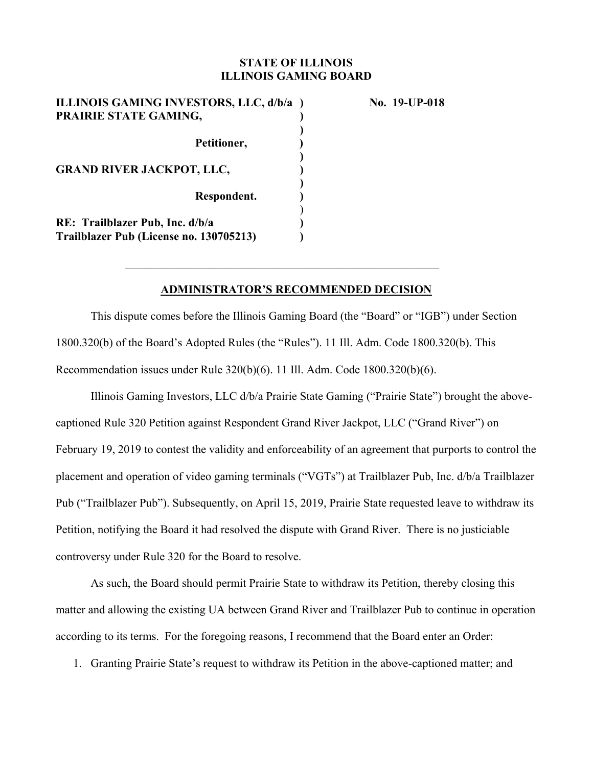## **STATE OF ILLINOIS ILLINOIS GAMING BOARD**

| ILLINOIS GAMING INVESTORS, LLC, d/b/a )<br>PRAIRIE STATE GAMING,           |  |
|----------------------------------------------------------------------------|--|
| Petitioner,                                                                |  |
| <b>GRAND RIVER JACKPOT, LLC,</b>                                           |  |
| Respondent.                                                                |  |
| RE: Trailblazer Pub, Inc. d/b/a<br>Trailblazer Pub (License no. 130705213) |  |

**No. 19-UP-018** 

### **ADMINISTRATOR'S RECOMMENDED DECISION**

This dispute comes before the Illinois Gaming Board (the "Board" or "IGB") under Section 1800.320(b) of the Board's Adopted Rules (the "Rules"). 11 Ill. Adm. Code 1800.320(b). This Recommendation issues under Rule 320(b)(6). 11 Ill. Adm. Code 1800.320(b)(6).

Illinois Gaming Investors, LLC d/b/a Prairie State Gaming ("Prairie State") brought the abovecaptioned Rule 320 Petition against Respondent Grand River Jackpot, LLC ("Grand River") on February 19, 2019 to contest the validity and enforceability of an agreement that purports to control the placement and operation of video gaming terminals ("VGTs") at Trailblazer Pub, Inc. d/b/a Trailblazer Pub ("Trailblazer Pub"). Subsequently, on April 15, 2019, Prairie State requested leave to withdraw its Petition, notifying the Board it had resolved the dispute with Grand River. There is no justiciable controversy under Rule 320 for the Board to resolve.

As such, the Board should permit Prairie State to withdraw its Petition, thereby closing this matter and allowing the existing UA between Grand River and Trailblazer Pub to continue in operation according to its terms.For the foregoing reasons, I recommend that the Board enter an Order:

1. Granting Prairie State's request to withdraw its Petition in the above-captioned matter; and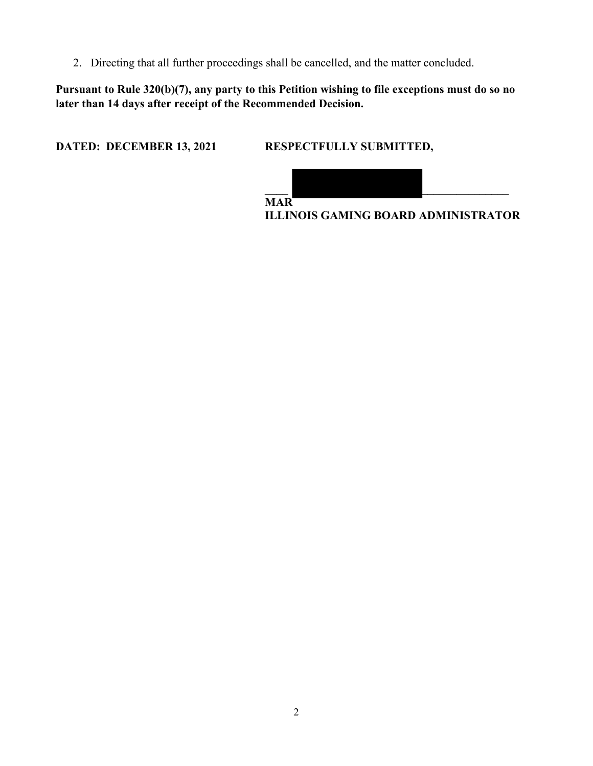2. Directing that all further proceedings shall be cancelled, and the matter concluded.

**Pursuant to Rule 320(b)(7), any party to this Petition wishing to file exceptions must do so no later than 14 days after receipt of the Recommended Decision.** 

**DATED: DECEMBER 13, 2021 RESPECTFULLY SUBMITTED,** 



**ILLINOIS GAMING BOARD ADMINISTRATOR**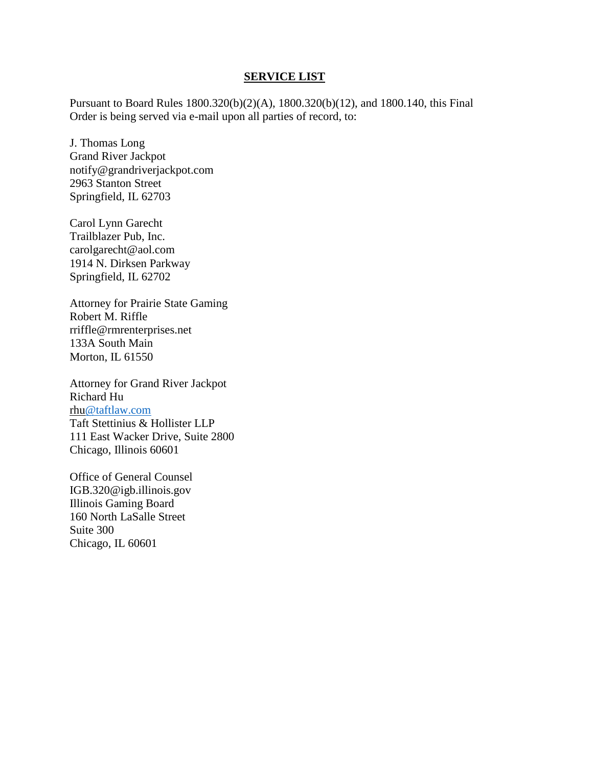#### **SERVICE LIST**

Pursuant to Board Rules 1800.320(b)(2)(A), 1800.320(b)(12), and 1800.140, this Final Order is being served via e-mail upon all parties of record, to:

J. Thomas Long Grand River Jackpot notify@grandriverjackpot.com 2963 Stanton Street Springfield, IL 62703

Carol Lynn Garecht Trailblazer Pub, Inc. carolgarecht@aol.com 1914 N. Dirksen Parkway Springfield, IL 62702

Attorney for Prairie State Gaming Robert M. Riffle rriffle@rmrenterprises.net 133A South Main Morton, IL 61550

Attorney for Grand River Jackpot Richard Hu rh[u@taftlaw.com](mailto:jpellum@taftlaw.com) Taft Stettinius & Hollister LLP 111 East Wacker Drive, Suite 2800 Chicago, Illinois 60601

Office of General Counsel IGB.320@igb.illinois.gov Illinois Gaming Board 160 North LaSalle Street Suite 300 Chicago, IL 60601